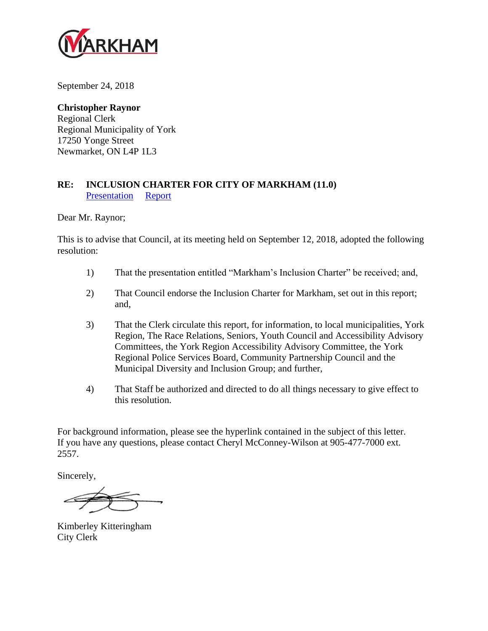

September 24, 2018

#### **Christopher Raynor**

Regional Clerk Regional Municipality of York 17250 Yonge Street Newmarket, ON L4P 1L3

#### **RE: INCLUSION CHARTER FOR CITY OF MARKHAM (11.0)** [Presentation](http://www2.markham.ca/markham/ccbs/indexfile/Agendas/2018/General/gc180904/Inclusion%20Charter%20Presentation.pdf) [Report](http://www2.markham.ca/markham/ccbs/indexfile/Agendas/2018/General/gc180904/Inclusion%20Charter%20for%20City%20of%20Markham.pdf)

Dear Mr. Raynor;

This is to advise that Council, at its meeting held on September 12, 2018, adopted the following resolution:

- 1) That the presentation entitled "Markham's Inclusion Charter" be received; and,
- 2) That Council endorse the Inclusion Charter for Markham, set out in this report; and,
- 3) That the Clerk circulate this report, for information, to local municipalities, York Region, The Race Relations, Seniors, Youth Council and Accessibility Advisory Committees, the York Region Accessibility Advisory Committee, the York Regional Police Services Board, Community Partnership Council and the Municipal Diversity and Inclusion Group; and further,
- 4) That Staff be authorized and directed to do all things necessary to give effect to this resolution.

For background information, please see the hyperlink contained in the subject of this letter. If you have any questions, please contact Cheryl McConney-Wilson at 905-477-7000 ext. 2557.

Sincerely,

Kimberley Kitteringham City Clerk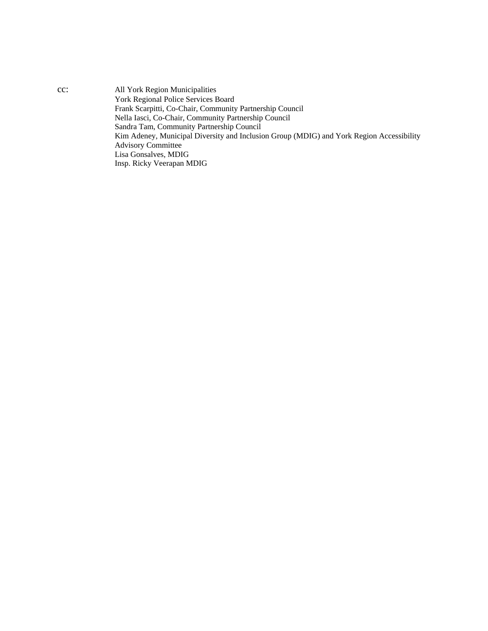cc: All York Region Municipalities York Regional Police Services Board Frank Scarpitti, Co-Chair, Community Partnership Council Nella Iasci, Co-Chair, Community Partnership Council Sandra Tam, Community Partnership Council Kim Adeney, Municipal Diversity and Inclusion Group (MDIG) and York Region Accessibility Advisory Committee Lisa Gonsalves, MDIG Insp. Ricky Veerapan MDIG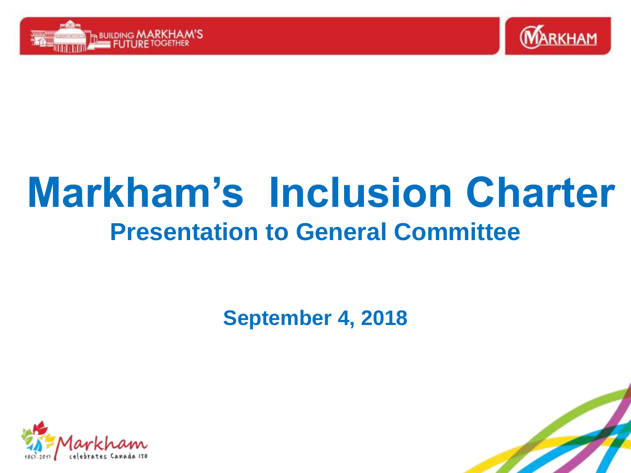



# **Markham's Inclusion Charter Presentation to General Committee**

**September 4, 2018**



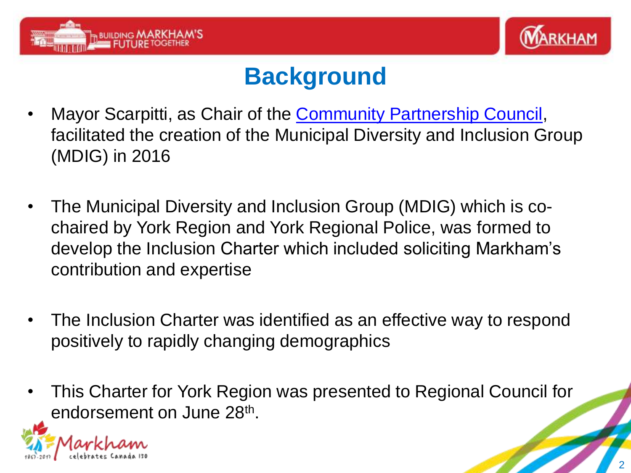



### **Background**

- Mayor Scarpitti, as Chair of the [Community Partnership Council](http://www.yorkwelcome.ca/wps/portal/ImmigrationMobile/Welcome/LocalImmigrationPartnership/Community Partnership Council/!ut/p/a0/04_Sj9CPykssy0xPLMnMz0vMAfGjzOLNA10MDEwsDLwMQkxdDDz9Qn09fJyCDdxDjfQLsh0VAVHPWhM!/?printFriendly=Y), facilitated the creation of the Municipal Diversity and Inclusion Group (MDIG) in 2016
- The Municipal Diversity and Inclusion Group (MDIG) which is cochaired by York Region and York Regional Police, was formed to develop the Inclusion Charter which included soliciting Markham's contribution and expertise
- The Inclusion Charter was identified as an effective way to respond positively to rapidly changing demographics
- This Charter for York Region was presented to Regional Council for endorsement on June 28<sup>th</sup>.

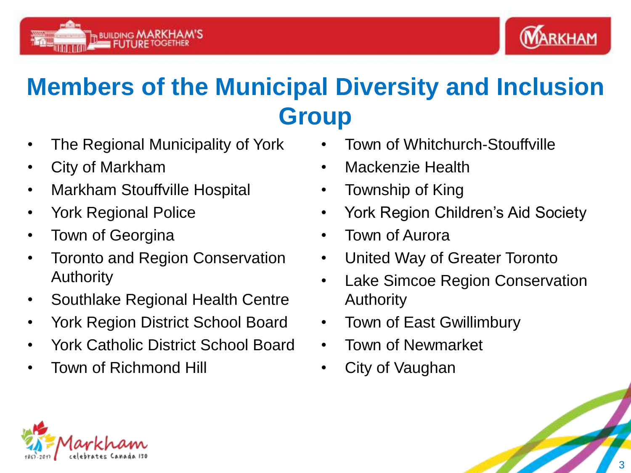



## **Members of the Municipal Diversity and Inclusion Group**

- The Regional Municipality of York
- City of Markham
- Markham Stouffville Hospital
- York Regional Police
- Town of Georgina
- Toronto and Region Conservation Authority
- Southlake Regional Health Centre
- York Region District School Board
- York Catholic District School Board
- Town of Richmond Hill
- Town of Whitchurch-Stouffville
- Mackenzie Health
- Township of King
- York Region Children's Aid Society
- Town of Aurora
- United Way of Greater Toronto
- Lake Simcoe Region Conservation Authority
- Town of East Gwillimbury
- Town of Newmarket
- City of Vaughan

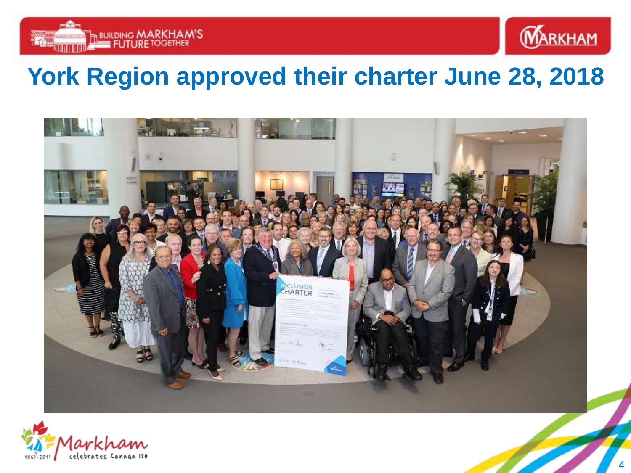



### **York Region approved their charter June 28, 2018**



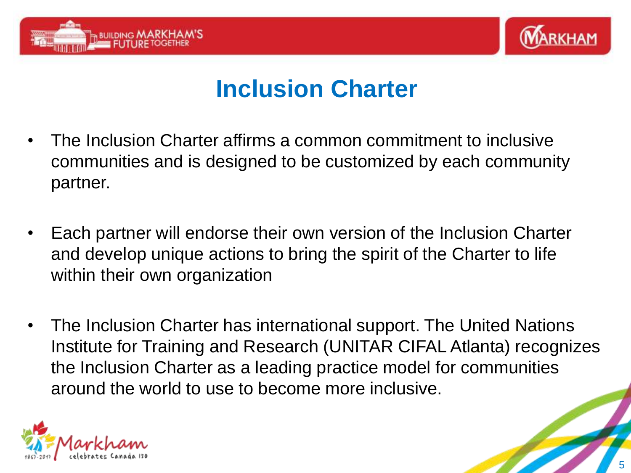



### **Inclusion Charter**

- The Inclusion Charter affirms a common commitment to inclusive communities and is designed to be customized by each community partner.
- Each partner will endorse their own version of the Inclusion Charter and develop unique actions to bring the spirit of the Charter to life within their own organization
- The Inclusion Charter has international support. The United Nations Institute for Training and Research (UNITAR CIFAL Atlanta) recognizes the Inclusion Charter as a leading practice model for communities around the world to use to become more inclusive.

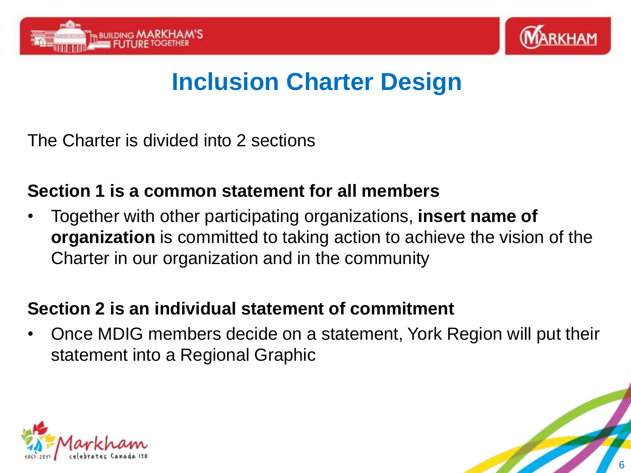



## **Inclusion Charter Design**

The Charter is divided into 2 sections

### **Section 1 is a common statement for all members**

• Together with other participating organizations, **insert name of organization** is committed to taking action to achieve the vision of the Charter in our organization and in the community

### **Section 2 is an individual statement of commitment**

• Once MDIG members decide on a statement, York Region will put their statement into a Regional Graphic



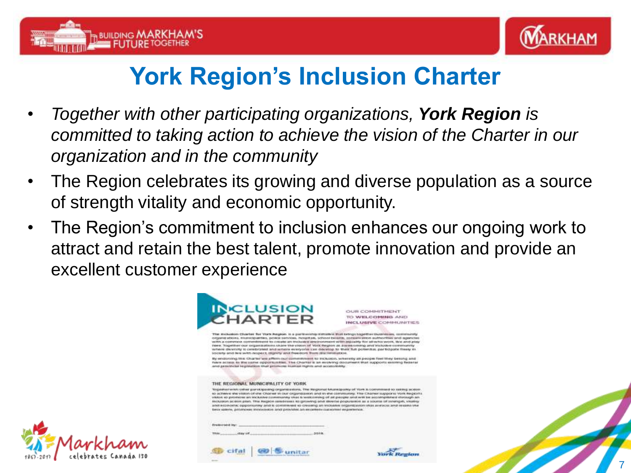



## **York Region's Inclusion Charter**

- *Together with other participating organizations, York Region is committed to taking action to achieve the vision of the Charter in our organization and in the community*
- The Region celebrates its growing and diverse population as a source of strength vitality and economic opportunity.
- The Region's commitment to inclusion enhances our ongoing work to attract and retain the best talent, promote innovation and provide an excellent customer experience





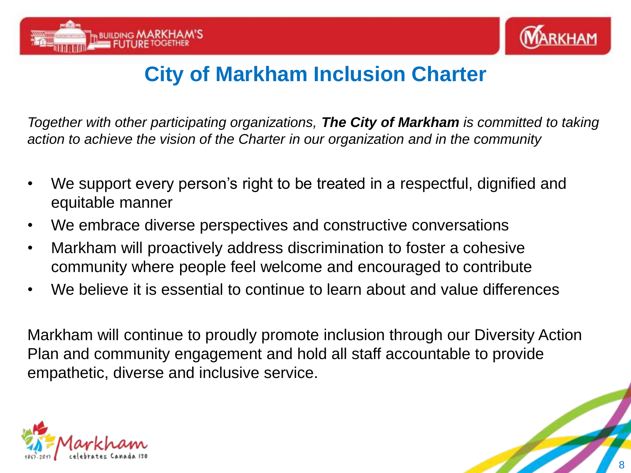



### **City of Markham Inclusion Charter**

*Together with other participating organizations, The City of Markham is committed to taking action to achieve the vision of the Charter in our organization and in the community*

- We support every person's right to be treated in a respectful, dignified and equitable manner
- We embrace diverse perspectives and constructive conversations
- Markham will proactively address discrimination to foster a cohesive community where people feel welcome and encouraged to contribute
- We believe it is essential to continue to learn about and value differences

Markham will continue to proudly promote inclusion through our Diversity Action Plan and community engagement and hold all staff accountable to provide empathetic, diverse and inclusive service.

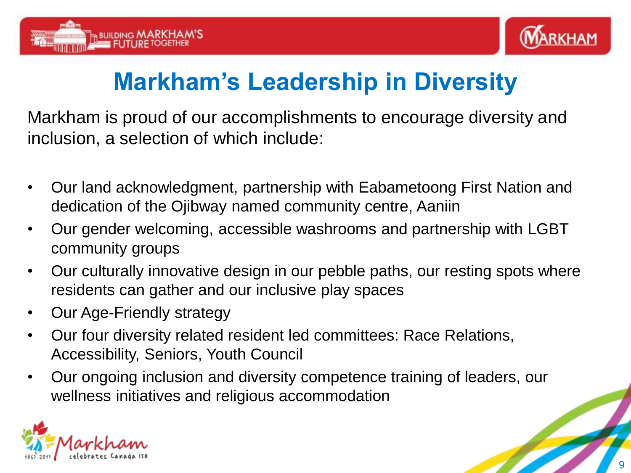



### **Markham's Leadership in Diversity**

Markham is proud of our accomplishments to encourage diversity and inclusion, a selection of which include:

- Our land acknowledgment, partnership with Eabametoong First Nation and dedication of the Ojibway named community centre, Aaniin
- Our gender welcoming, accessible washrooms and partnership with LGBT community groups
- Our culturally innovative design in our pebble paths, our resting spots where residents can gather and our inclusive play spaces
- Our Age-Friendly strategy
- Our four diversity related resident led committees: Race Relations, Accessibility, Seniors, Youth Council
- Our ongoing inclusion and diversity competence training of leaders, our wellness initiatives and religious accommodation

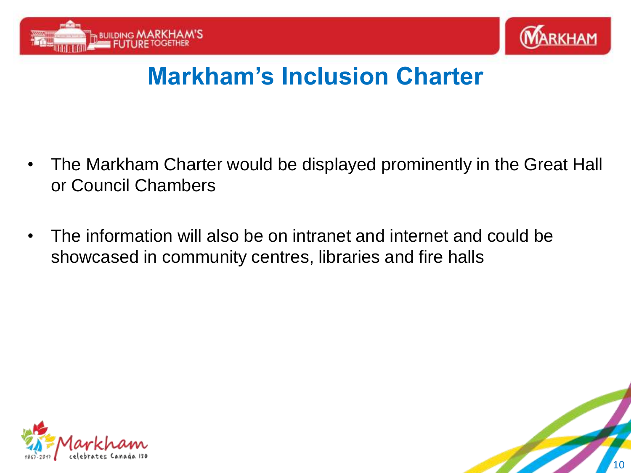



### **Markham's Inclusion Charter**

- The Markham Charter would be displayed prominently in the Great Hall or Council Chambers
- The information will also be on intranet and internet and could be showcased in community centres, libraries and fire halls



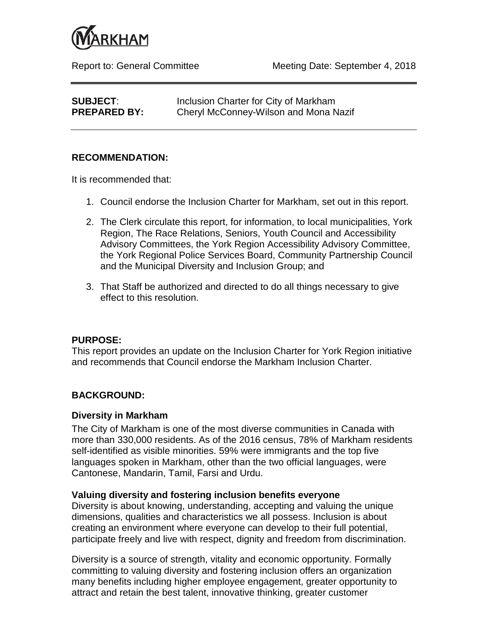

| <b>SUBJECT:</b>     | Inclusion Charter for City of Markham |
|---------------------|---------------------------------------|
| <b>PREPARED BY:</b> | Cheryl McConney-Wilson and Mona Nazif |

#### **RECOMMENDATION:**

It is recommended that:

- 1. Council endorse the Inclusion Charter for Markham, set out in this report.
- 2. The Clerk circulate this report, for information, to local municipalities, York Region, The Race Relations, Seniors, Youth Council and Accessibility Advisory Committees, the York Region Accessibility Advisory Committee, the York Regional Police Services Board, Community Partnership Council and the Municipal Diversity and Inclusion Group; and
- 3. That Staff be authorized and directed to do all things necessary to give effect to this resolution.

#### **PURPOSE:**

This report provides an update on the Inclusion Charter for York Region initiative and recommends that Council endorse the Markham Inclusion Charter.

#### **BACKGROUND:**

#### **Diversity in Markham**

The City of Markham is one of the most diverse communities in Canada with more than 330,000 residents. As of the 2016 census, 78% of Markham residents self-identified as visible minorities. 59% were immigrants and the top five languages spoken in Markham, other than the two official languages, were Cantonese, Mandarin, Tamil, Farsi and Urdu.

#### **Valuing diversity and fostering inclusion benefits everyone**

Diversity is about knowing, understanding, accepting and valuing the unique dimensions, qualities and characteristics we all possess. Inclusion is about creating an environment where everyone can develop to their full potential, participate freely and live with respect, dignity and freedom from discrimination.

Diversity is a source of strength, vitality and economic opportunity. Formally committing to valuing diversity and fostering inclusion offers an organization many benefits including higher employee engagement, greater opportunity to attract and retain the best talent, innovative thinking, greater customer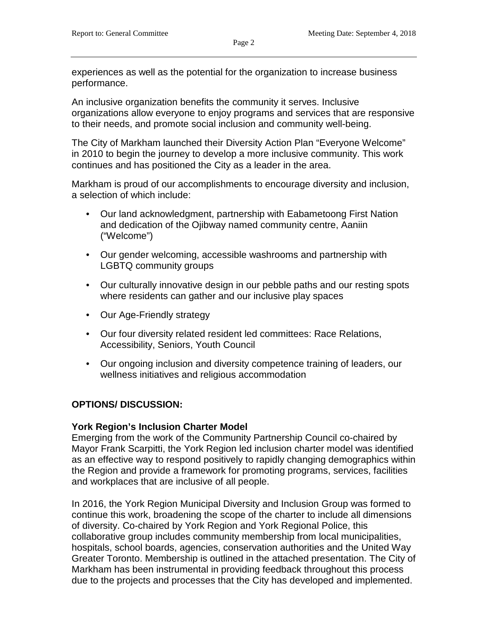experiences as well as the potential for the organization to increase business performance.

An inclusive organization benefits the community it serves. Inclusive organizations allow everyone to enjoy programs and services that are responsive to their needs, and promote social inclusion and community well-being.

The City of Markham launched their Diversity Action Plan "Everyone Welcome" in 2010 to begin the journey to develop a more inclusive community. This work continues and has positioned the City as a leader in the area.

Markham is proud of our accomplishments to encourage diversity and inclusion, a selection of which include:

- Our land acknowledgment, partnership with Eabametoong First Nation and dedication of the Ojibway named community centre, Aaniin ("Welcome")
- Our gender welcoming, accessible washrooms and partnership with LGBTQ community groups
- Our culturally innovative design in our pebble paths and our resting spots where residents can gather and our inclusive play spaces
- Our Age-Friendly strategy
- Our four diversity related resident led committees: Race Relations, Accessibility, Seniors, Youth Council
- Our ongoing inclusion and diversity competence training of leaders, our wellness initiatives and religious accommodation

#### **OPTIONS/ DISCUSSION:**

#### **York Region's Inclusion Charter Model**

Emerging from the work of the Community Partnership Council co-chaired by Mayor Frank Scarpitti, the York Region led inclusion charter model was identified as an effective way to respond positively to rapidly changing demographics within the Region and provide a framework for promoting programs, services, facilities and workplaces that are inclusive of all people.

In 2016, the York Region Municipal Diversity and Inclusion Group was formed to continue this work, broadening the scope of the charter to include all dimensions of diversity. Co-chaired by York Region and York Regional Police, this collaborative group includes community membership from local municipalities, hospitals, school boards, agencies, conservation authorities and the United Way Greater Toronto. Membership is outlined in the attached presentation. The City of Markham has been instrumental in providing feedback throughout this process due to the projects and processes that the City has developed and implemented.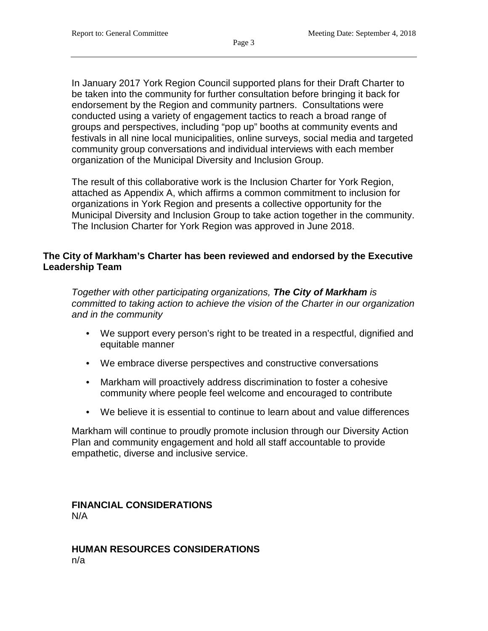In January 2017 York Region Council supported plans for their Draft Charter to be taken into the community for further consultation before bringing it back for endorsement by the Region and community partners. Consultations were conducted using a variety of engagement tactics to reach a broad range of groups and perspectives, including "pop up" booths at community events and festivals in all nine local municipalities, online surveys, social media and targeted community group conversations and individual interviews with each member organization of the Municipal Diversity and Inclusion Group.

The result of this collaborative work is the Inclusion Charter for York Region, attached as Appendix A, which affirms a common commitment to inclusion for organizations in York Region and presents a collective opportunity for the Municipal Diversity and Inclusion Group to take action together in the community. The Inclusion Charter for York Region was approved in June 2018.

#### **The City of Markham's Charter has been reviewed and endorsed by the Executive Leadership Team**

*Together with other participating organizations, The City of Markham is committed to taking action to achieve the vision of the Charter in our organization and in the community*

- We support every person's right to be treated in a respectful, dignified and equitable manner
- We embrace diverse perspectives and constructive conversations
- Markham will proactively address discrimination to foster a cohesive community where people feel welcome and encouraged to contribute
- We believe it is essential to continue to learn about and value differences

Markham will continue to proudly promote inclusion through our Diversity Action Plan and community engagement and hold all staff accountable to provide empathetic, diverse and inclusive service.

**FINANCIAL CONSIDERATIONS** N/A

**HUMAN RESOURCES CONSIDERATIONS** n/a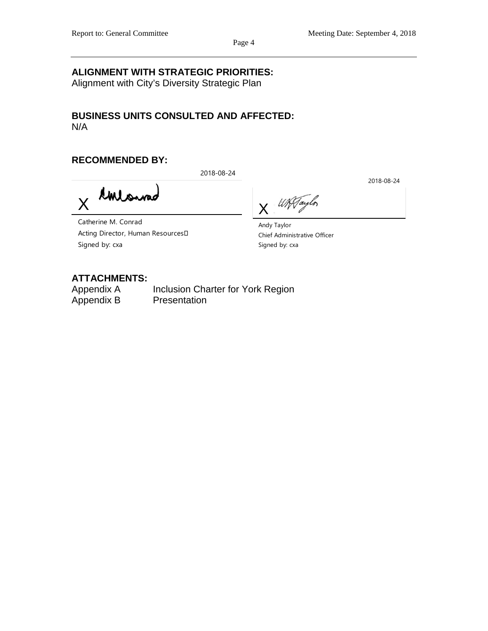2018-08-24

Page 4

#### **ALIGNMENT WITH STRATEGIC PRIORITIES:**

Alignment with City's Diversity Strategic Plan

#### **BUSINESS UNITS CONSULTED AND AFFECTED:** N/A

#### **RECOMMENDED BY:**

2018-08-24

Contonna X

WATaylor X

Catherine M. Conrad Acting Director, Human Resources Signed by: cxa

Andy Taylor Chief Administrative Officer Signed by: cxa

### **ATTACHMENTS:**

Inclusion Charter for York Region Appendix B Presentation